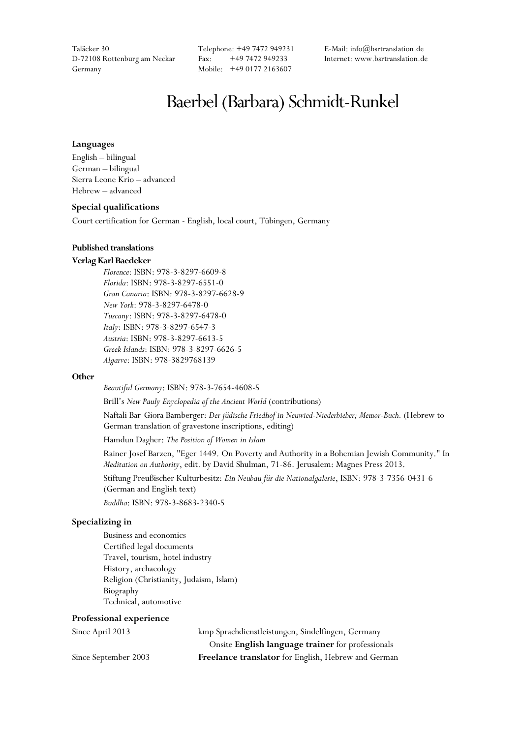Taläcker 30 Telephone: +49 7472 949231 E-Mail: info@bsrtranslation.de D-72108 Rottenburg am Neckar Fax: +49 7472 949233 Internet: www.bsrtranslation.de Germany Mobile: +49 0177 2163607

# Baerbel (Barbara) Schmidt-Runkel

#### **Languages**

English – bilingual German – bilingual Sierra Leone Krio – advanced Hebrew – advanced

#### **Special qualifications**

Court certification for German - English, local court, Tübingen, Germany

#### **Published translations**

## **Verlag Karl Baedeker**

*Florence*: ISBN: 978-3-8297-6609-8 *Florida*: ISBN: 978-3-8297-6551-0 *Gran Canaria*: ISBN: 978-3-8297-6628-9 *New York*: 978-3-8297-6478-0 *Tuscany*: ISBN: 978-3-8297-6478-0 *Italy*: ISBN: 978-3-8297-6547-3 *Austria*: ISBN: 978-3-8297-6613-5 *Greek Islands*: ISBN: 978-3-8297-6626-5 *Algarve*: ISBN: 978-3829768139

#### **Other**

*Beautiful Germany*: ISBN: 978-3-7654-4608-5

Brill's *New Pauly Enyclopedia of the Ancient World* (contributions)

Naftali Bar-Giora Bamberger: *Der jüdische Friedhof in Neuwied-Niederbieber; Memor-Buch.* (Hebrew to German translation of gravestone inscriptions, editing)

Hamdun Dagher: *The Position of Women in Islam*

Rainer Josef Barzen, "Eger 1449. On Poverty and Authority in a Bohemian Jewish Community." In *Meditation on Authority*, edit. by David Shulman, 71-86. Jerusalem: Magnes Press 2013.

Stiftung Preußischer Kulturbesitz: *Ein Neubau für die Nationalgalerie*, ISBN: 978-3-7356-0431-6 (German and English text)

*Buddha*: ISBN: 978-3-8683-2340-5

#### **Specializing in**

Business and economics Certified legal documents Travel, tourism, hotel industry History, archaeology Religion (Christianity, Judaism, Islam) Biography Technical, automotive

#### **Professional experience**

| Since April 2013     | kmp Sprachdienstleistungen, Sindelfingen, Germany   |
|----------------------|-----------------------------------------------------|
|                      | Onsite English language trainer for professionals   |
| Since September 2003 | Freelance translator for English, Hebrew and German |